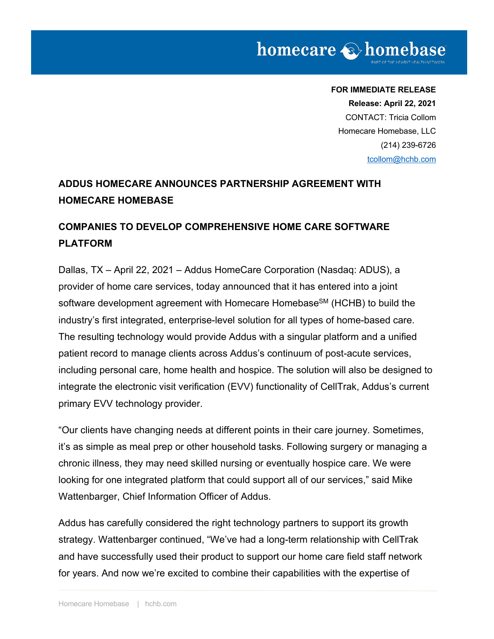**FOR IMMEDIATE RELEASE Release: April 22, 2021** CONTACT: Tricia Collom Homecare Homebase, LLC (214) 239-6726 tcollom@hchb.com

# **ADDUS HOMECARE ANNOUNCES PARTNERSHIP AGREEMENT WITH HOMECARE HOMEBASE**

## **COMPANIES TO DEVELOP COMPREHENSIVE HOME CARE SOFTWARE PLATFORM**

Dallas, TX – April 22, 2021 – Addus HomeCare Corporation (Nasdaq: ADUS), a provider of home care services, today announced that it has entered into a joint software development agreement with Homecare Homebase<sup>SM</sup> (HCHB) to build the industry's first integrated, enterprise-level solution for all types of home-based care. The resulting technology would provide Addus with a singular platform and a unified patient record to manage clients across Addus's continuum of post-acute services, including personal care, home health and hospice. The solution will also be designed to integrate the electronic visit verification (EVV) functionality of CellTrak, Addus's current primary EVV technology provider.

"Our clients have changing needs at different points in their care journey. Sometimes, it's as simple as meal prep or other household tasks. Following surgery or managing a chronic illness, they may need skilled nursing or eventually hospice care. We were looking for one integrated platform that could support all of our services," said Mike Wattenbarger, Chief Information Officer of Addus.

Addus has carefully considered the right technology partners to support its growth strategy. Wattenbarger continued, "We've had a long-term relationship with CellTrak and have successfully used their product to support our home care field staff network for years. And now we're excited to combine their capabilities with the expertise of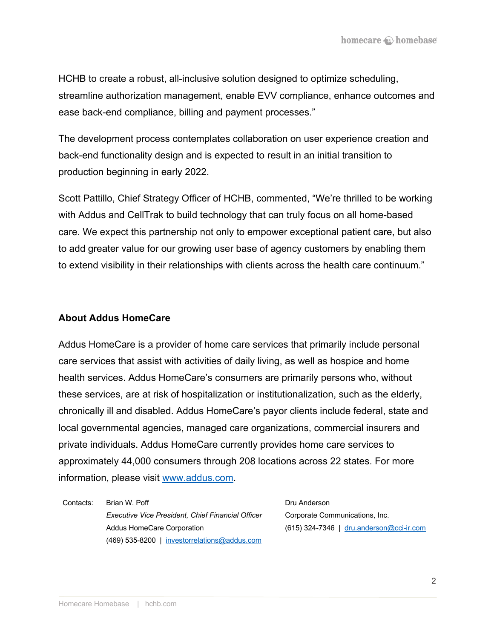HCHB to create a robust, all-inclusive solution designed to optimize scheduling, streamline authorization management, enable EVV compliance, enhance outcomes and ease back-end compliance, billing and payment processes."

The development process contemplates collaboration on user experience creation and back-end functionality design and is expected to result in an initial transition to production beginning in early 2022.

Scott Pattillo, Chief Strategy Officer of HCHB, commented, "We're thrilled to be working with Addus and CellTrak to build technology that can truly focus on all home-based care. We expect this partnership not only to empower exceptional patient care, but also to add greater value for our growing user base of agency customers by enabling them to extend visibility in their relationships with clients across the health care continuum."

#### **About Addus HomeCare**

Addus HomeCare is a provider of home care services that primarily include personal care services that assist with activities of daily living, as well as hospice and home health services. Addus HomeCare's consumers are primarily persons who, without these services, are at risk of hospitalization or institutionalization, such as the elderly, chronically ill and disabled. Addus HomeCare's payor clients include federal, state and local governmental agencies, managed care organizations, commercial insurers and private individuals. Addus HomeCare currently provides home care services to approximately 44,000 consumers through 208 locations across 22 states. For more information, please visit www.addus.com.

Contacts: Brian W. Poff *Executive Vice President, Chief Financial Officer* Addus HomeCare Corporation (469) 535-8200 | investorrelations@addus.com

Dru Anderson Corporate Communications, Inc. (615) 324-7346 | dru.anderson@cci-ir.com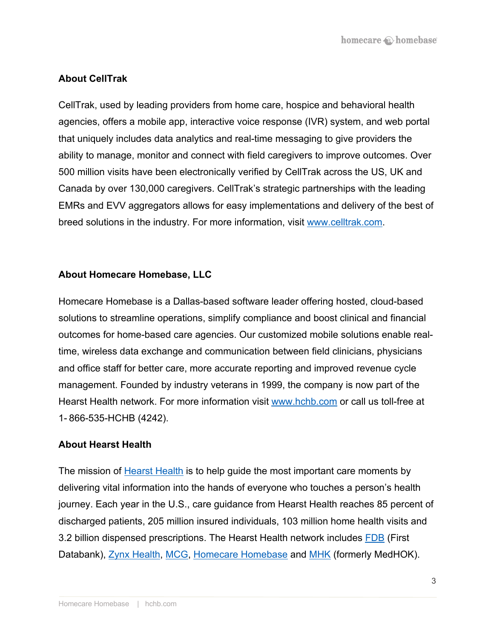### **About CellTrak**

CellTrak, used by leading providers from home care, hospice and behavioral health agencies, offers a mobile app, interactive voice response (IVR) system, and web portal that uniquely includes data analytics and real-time messaging to give providers the ability to manage, monitor and connect with field caregivers to improve outcomes. Over 500 million visits have been electronically verified by CellTrak across the US, UK and Canada by over 130,000 caregivers. CellTrak's strategic partnerships with the leading EMRs and EVV aggregators allows for easy implementations and delivery of the best of breed solutions in the industry. For more information, visit www.celltrak.com.

### **About Homecare Homebase, LLC**

Homecare Homebase is a Dallas-based software leader offering hosted, cloud-based solutions to streamline operations, simplify compliance and boost clinical and financial outcomes for home-based care agencies. Our customized mobile solutions enable realtime, wireless data exchange and communication between field clinicians, physicians and office staff for better care, more accurate reporting and improved revenue cycle management. Founded by industry veterans in 1999, the company is now part of the Hearst Health network. For more information visit www.hchb.com or call us toll-free at 1- 866-535-HCHB (4242).

#### **About Hearst Health**

The mission of Hearst Health is to help guide the most important care moments by delivering vital information into the hands of everyone who touches a person's health journey. Each year in the U.S., care guidance from Hearst Health reaches 85 percent of discharged patients, 205 million insured individuals, 103 million home health visits and 3.2 billion dispensed prescriptions. The Hearst Health network includes FDB (First Databank), Zynx Health, MCG, Homecare Homebase and MHK (formerly MedHOK).